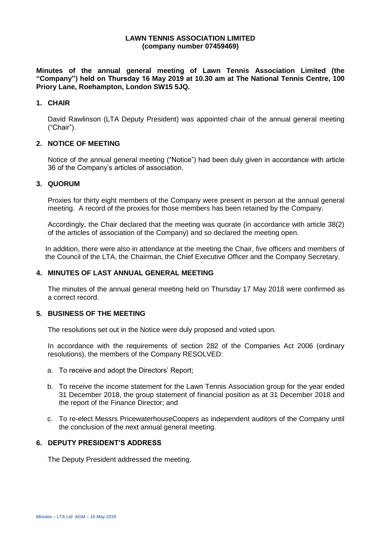#### **LAWN TENNIS ASSOCIATION LIMITED (company number 07459469)**

**Minutes of the annual general meeting of Lawn Tennis Association Limited (the "Company") held on Thursday 16 May 2019 at 10.30 am at The National Tennis Centre, 100 Priory Lane, Roehampton, London SW15 5JQ.**

### **1. CHAIR**

David Rawlinson (LTA Deputy President) was appointed chair of the annual general meeting ("Chair").

# **2. NOTICE OF MEETING**

Notice of the annual general meeting ("Notice") had been duly given in accordance with article 36 of the Company's articles of association.

#### **3. QUORUM**

Proxies for thirty eight members of the Company were present in person at the annual general meeting. A record of the proxies for those members has been retained by the Company.

Accordingly, the Chair declared that the meeting was quorate (in accordance with article 38(2) of the articles of association of the Company) and so declared the meeting open.

In addition, there were also in attendance at the meeting the Chair, five officers and members of the Council of the LTA, the Chairman, the Chief Executive Officer and the Company Secretary.

#### **4. MINUTES OF LAST ANNUAL GENERAL MEETING**

The minutes of the annual general meeting held on Thursday 17 May 2018 were confirmed as a correct record.

#### **5. BUSINESS OF THE MEETING**

The resolutions set out in the Notice were duly proposed and voted upon.

In accordance with the requirements of section 282 of the Companies Act 2006 (ordinary resolutions), the members of the Company RESOLVED:

- a. To receive and adopt the Directors' Report;
- b. To receive the income statement for the Lawn Tennis Association group for the year ended 31 December 2018, the group statement of financial position as at 31 December 2018 and the report of the Finance Director; and
- c. To re-elect Messrs PricewaterhouseCoopers as independent auditors of the Company until the conclusion of the next annual general meeting.

#### **6. DEPUTY PRESIDENT'S ADDRESS**

The Deputy President addressed the meeting.